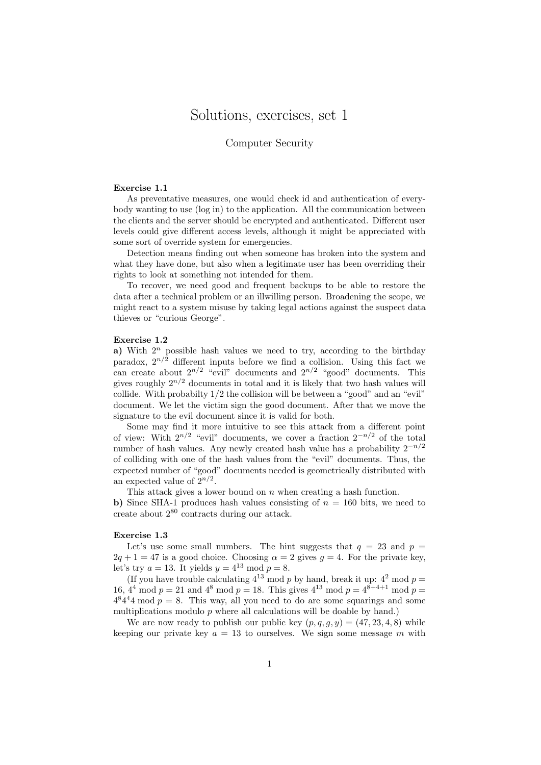# Computer Security

#### Exercise 1.1

As preventative measures, one would check id and authentication of everybody wanting to use (log in) to the application. All the communication between the clients and the server should be encrypted and authenticated. Different user levels could give different access levels, although it might be appreciated with some sort of override system for emergencies.

Detection means finding out when someone has broken into the system and what they have done, but also when a legitimate user has been overriding their rights to look at something not intended for them.

To recover, we need good and frequent backups to be able to restore the data after a technical problem or an illwilling person. Broadening the scope, we might react to a system misuse by taking legal actions against the suspect data thieves or "curious George".

### Exercise 1.2

a) With  $2^n$  possible hash values we need to try, according to the birthday paradox,  $2^{n/2}$  different inputs before we find a collision. Using this fact we can create about  $2^{n/2}$  "evil" documents and  $2^{n/2}$  "good" documents. This gives roughly  $2^{n/2}$  documents in total and it is likely that two hash values will collide. With probabilty  $1/2$  the collision will be between a "good" and an "evil" document. We let the victim sign the good document. After that we move the signature to the evil document since it is valid for both.

Some may find it more intuitive to see this attack from a different point of view: With  $2^{n/2}$  "evil" documents, we cover a fraction  $2^{-n/2}$  of the total number of hash values. Any newly created hash value has a probability  $2^{-n/2}$ of colliding with one of the hash values from the "evil" documents. Thus, the expected number of "good" documents needed is geometrically distributed with an expected value of  $2^{n/2}$ .

This attack gives a lower bound on  $n$  when creating a hash function.

b) Since SHA-1 produces hash values consisting of  $n = 160$  bits, we need to create about  $2^{80}$  contracts during our attack.

### Exercise 1.3

Let's use some small numbers. The hint suggests that  $q = 23$  and  $p =$  $2q + 1 = 47$  is a good choice. Choosing  $\alpha = 2$  gives  $q = 4$ . For the private key, let's try  $a = 13$ . It yields  $y = 4^{13} \mod p = 8$ .

(If you have trouble calculating  $4^{13}$  mod p by hand, break it up:  $4^2$  mod p = 16,  $4^4 \text{ mod } p = 21 \text{ and } 4^8 \text{ mod } p = 18$ . This gives  $4^{13} \text{ mod } p = 4^{8+4+1} \text{ mod } p =$  $4^{8}4^{4}4 \mod p = 8$ . This way, all you need to do are some squarings and some multiplications modulo  $p$  where all calculations will be doable by hand.)

We are now ready to publish our public key  $(p, q, q, y) = (47, 23, 4, 8)$  while keeping our private key  $a = 13$  to ourselves. We sign some message m with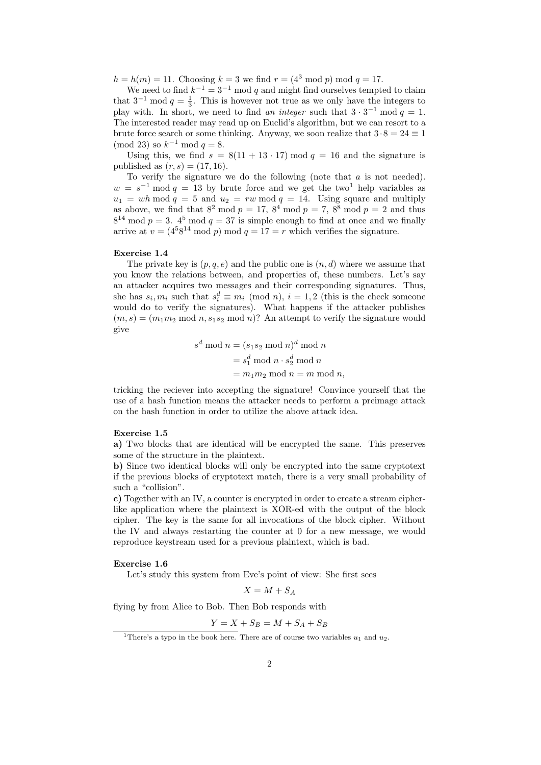$h = h(m) = 11$ . Choosing  $k = 3$  we find  $r = (4^3 \text{ mod } p) \text{ mod } q = 17$ .

We need to find  $k^{-1} = 3^{-1} \mod q$  and might find ourselves tempted to claim that  $3^{-1}$  mod  $q = \frac{1}{3}$ . This is however not true as we only have the integers to play with. In short, we need to find an integer such that  $3 \cdot 3^{-1}$  mod  $q = 1$ . The interested reader may read up on Euclid's algorithm, but we can resort to a brute force search or some thinking. Anyway, we soon realize that  $3 \cdot 8 = 24 \equiv 1$  $\pmod{23}$  so  $k^{-1} \bmod{q} = 8$ .

Using this, we find  $s = 8(11 + 13 \cdot 17) \mod q = 16$  and the signature is published as  $(r, s) = (17, 16)$ .

To verify the signature we do the following (note that  $a$  is not needed).  $w = s^{-1} \mod q = 13$  by brute force and we get the two<sup>1</sup> help variables as  $u_1 = wh \mod q = 5$  and  $u_2 = rw \mod q = 14$ . Using square and multiply as above, we find that  $8^2 \mod p = 17$ ,  $8^4 \mod p = 7$ ,  $8^8 \mod p = 2$  and thus  $8^{14}$  mod  $p = 3$ .  $4^5$  mod  $q = 37$  is simple enough to find at once and we finally arrive at  $v = (4^58^{14} \text{ mod } p) \text{ mod } q = 17 = r \text{ which verifies the signature.}$ 

# Exercise 1.4

The private key is  $(p, q, e)$  and the public one is  $(n, d)$  where we assume that you know the relations between, and properties of, these numbers. Let's say an attacker acquires two messages and their corresponding signatures. Thus, she has  $s_i, m_i$  such that  $s_i^d \equiv m_i \pmod{n}$ ,  $i = 1, 2$  (this is the check someone would do to verify the signatures). What happens if the attacker publishes  $(m, s) = (m_1 m_2 \mod n, s_1 s_2 \mod n)$ ? An attempt to verify the signature would give

$$
sd mod n = (s1s2 mod n)d mod n
$$

$$
= s1d mod n \cdot s2d mod n
$$

$$
= m1m2 mod n = m mod n,
$$

tricking the reciever into accepting the signature! Convince yourself that the use of a hash function means the attacker needs to perform a preimage attack on the hash function in order to utilize the above attack idea.

## Exercise 1.5

a) Two blocks that are identical will be encrypted the same. This preserves some of the structure in the plaintext.

b) Since two identical blocks will only be encrypted into the same cryptotext if the previous blocks of cryptotext match, there is a very small probability of such a "collision".

c) Together with an IV, a counter is encrypted in order to create a stream cipherlike application where the plaintext is XOR-ed with the output of the block cipher. The key is the same for all invocations of the block cipher. Without the IV and always restarting the counter at 0 for a new message, we would reproduce keystream used for a previous plaintext, which is bad.

#### Exercise 1.6

Let's study this system from Eve's point of view: She first sees

$$
X = M + S_A
$$

flying by from Alice to Bob. Then Bob responds with

 $Y = X + S_B = M + S_A + S_B$ 

<sup>&</sup>lt;sup>1</sup>There's a typo in the book here. There are of course two variables  $u_1$  and  $u_2$ .